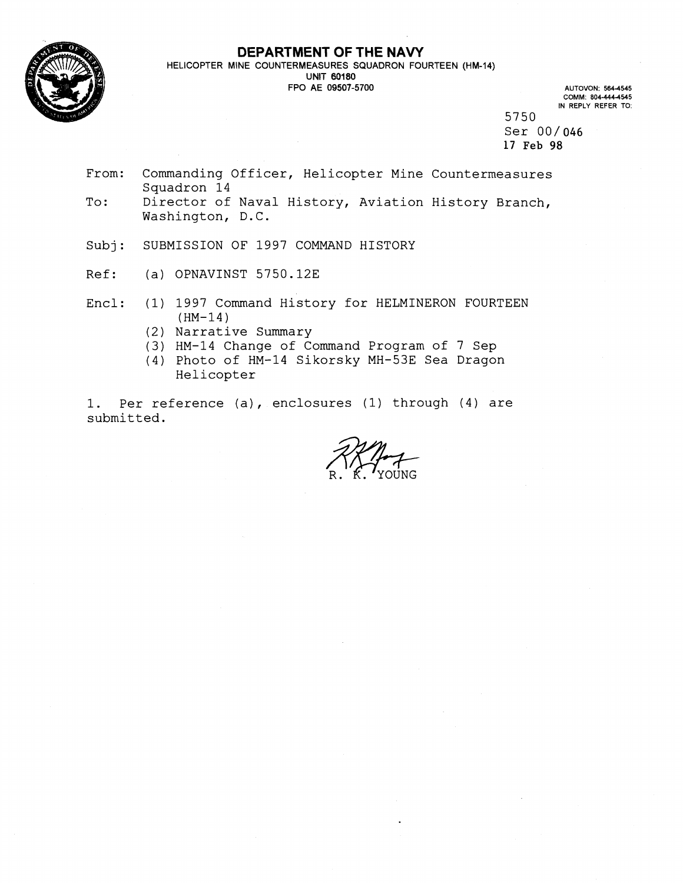

### **DEPARTMENT OF THE NAVY**

**HELICOPTER MINE COUNTERMEASURES SQUADRON FOURTEEN (HM-14) UNIT 60180 FPO AE 09507-5700 AUTOVON: 5644545** 

**COMM: 804-4444545 IN REPLY REFER TO:** 

5750 Ser 00/046 **17 Feb** 98

From: Commanding Officer, Helicopter Mine Countermeasures Squadron 14

- To: Director of Naval History, Aviation History Branch, Washington, D.C.
- Subj: SUBMISSION OF 1997 COMMAND HISTORY
- Ref: (a) OPNAVINST 5750.12E
- Encl: (1) 1997 Command History for HELMINERON FOURTEEN  $(HM-14)$ 
	- (2) Narrative Summary
	- (3) HM-14 Change of Command Program of 7 Sep
	- (4) Photo of HM-14 Sikorsky MH-53E Sea Dragon Helicopter

1. Per reference (a), enclosures **(1)** through (4) are submitted.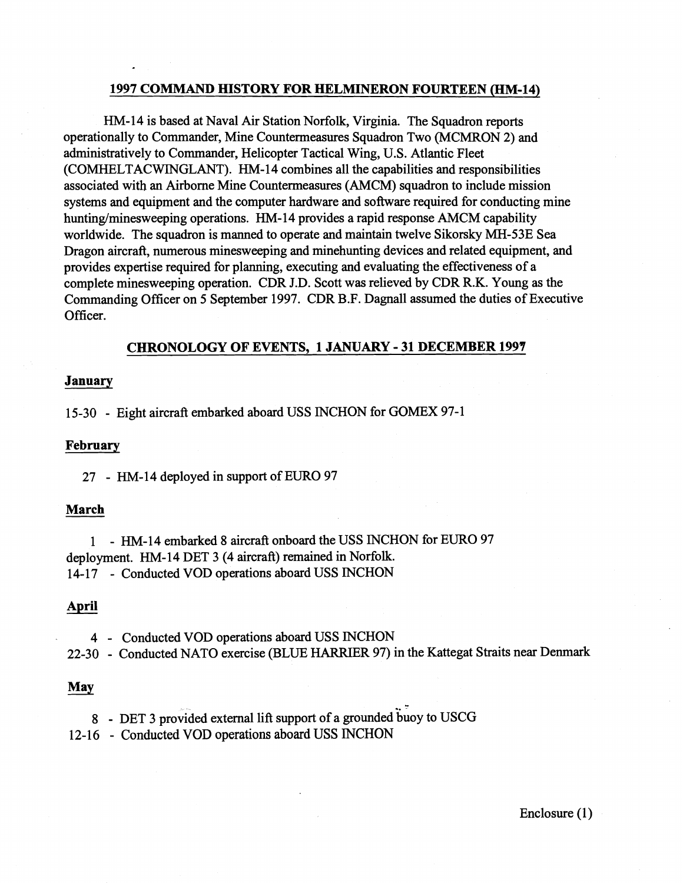#### **1997 COMMAND HISTORY FOR HELMINERON FOURTEEN (HM-14)**

HM-14 is based at Naval Air Station Norfolk, Virginia. The Squadron reports operationally to Commander, Mine Countermeasures Squadron Two (MCMRON 2) and administratively to Commander, Helicopter Tactical Wing, U.S. Atlantic Fleet (COMHELTAC WINGLANT) . HM- 14 combines all the capabilities and responsibilities associated with an Airborne Mine Countermeasures (AMCM) squadron to include mission systems and equipment and the computer hardware and software required for conducting mine hunting/minesweeping operations. HM-14 provides a rapid response AMCM capability worldwide. The squadron is manned to operate and maintain twelve Sikorsky MH-53E Sea Dragon aircraft, numerous minesweeping and rninehunting devices and related equipment, and provides expertise required for planning, executing and evaluating the effectiveness of a complete minesweeping operation. CDR J.D. Scott was relieved by CDR R.K. Young as the Commanding Officer on 5 September 1997. CDR B.F. Dagnall assumed the duties of Executive Officer.

#### **CHRONOLOGY OF EVENTS, 1 JANUARY** - **31 DECEMBER 1997**

#### **January**

15-30 - Eight aircraft embarked aboard USS INCHON for **GOMEX** 97- 1

#### **Februarv**

27 - HM-14 deployed in support of EURO 97

#### **March**

1 - HM-14 embarked 8 aircraft onboard the USS INCHON for EURO 97 deployment. HM- 14 DET 3 (4 aircraft) remained in Norfolk. 14-17 - Conducted VOD operations aboard USS INCHON

#### **April**

4 - Conducted VOD operations aboard USS INCHON

22-30 - Conducted NATO exercise (BLUE HARRIER 97) in the Kattegat Straits near Denmark

-

#### *May*

8 - DET **3** provided external lifl support of a grounded buoy to USCG

12-16 - Conducted VOD operations aboard USS INCHON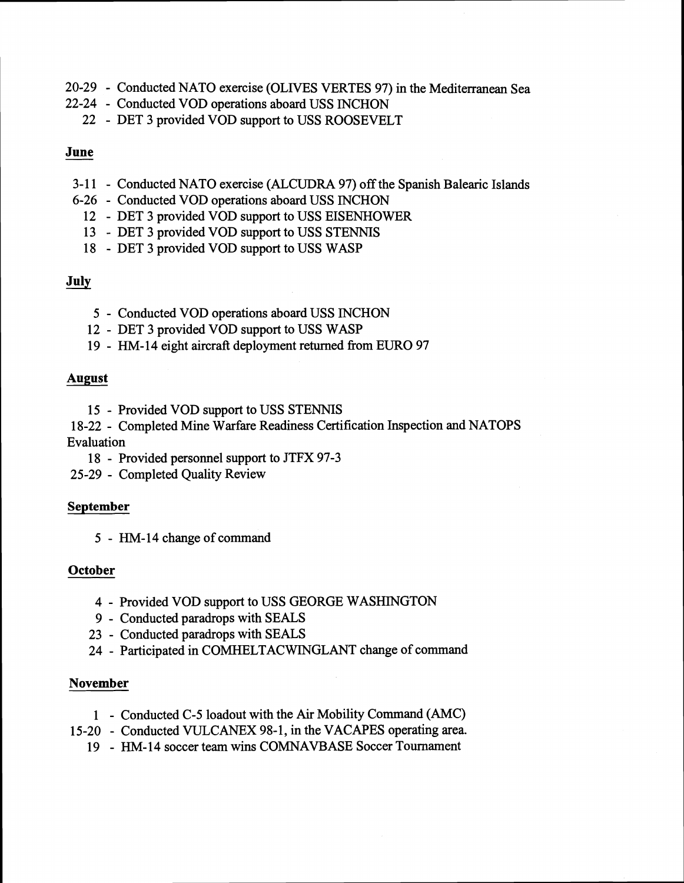- 20-29 Conducted NATO exercise (OLIVES VERTES 97) in the Mediterranean Sea
- 22-24 Conducted VOD operations aboard USS INCHON
	- 22 DET 3 provided VOD support to USS ROOSEVELT

# **June**

- 3-1 1 Conducted NATO exercise (ALCUDRA 97) off the Spanish Balearic Islands
- 6-26 Conducted VOD operations aboard USS INCHON
	- 12 DET 3 provided VOD support to USS EISENHOWER
	- 13 DET 3 provided VOD support to USS STENNIS
	- 18 DET 3 provided VOD support to USS WASP

# **July**

- 5 Conducted VOD operations aboard USS INCHON
- 12 DET 3 provided VOD support to USS WASP
- 19 HM-14 eight aircraft deployment returned from EURO 97

# **August**

15 - Provided VOD support to USS STENNIS

18-22 - Completed Mine Warfare Readiness Certification Inspection and NATOPS Evaluation

- 18 Provided personnel support to JTFX 97-3
- 25-29 Completed Quality Review

# **September**

5 - HM- 14 change of command

# **October**

- 4 Provided VOD support to USS GEORGE WASHINGTON
- 9 Conducted paradrops with SEALS
- 23 Conducted paradrops with SEALS
- 24 Participated in COMHELTACWINGLANT change of command

# **November**

- 1 Conducted C-5 loadout with the Air Mobility Command (AMC)
- 15-20 Conducted VULCANEX 98-1, in the VACAPES operating area.
	- 19 HM-14 soccer team wins COMNAVBASE Soccer Tournament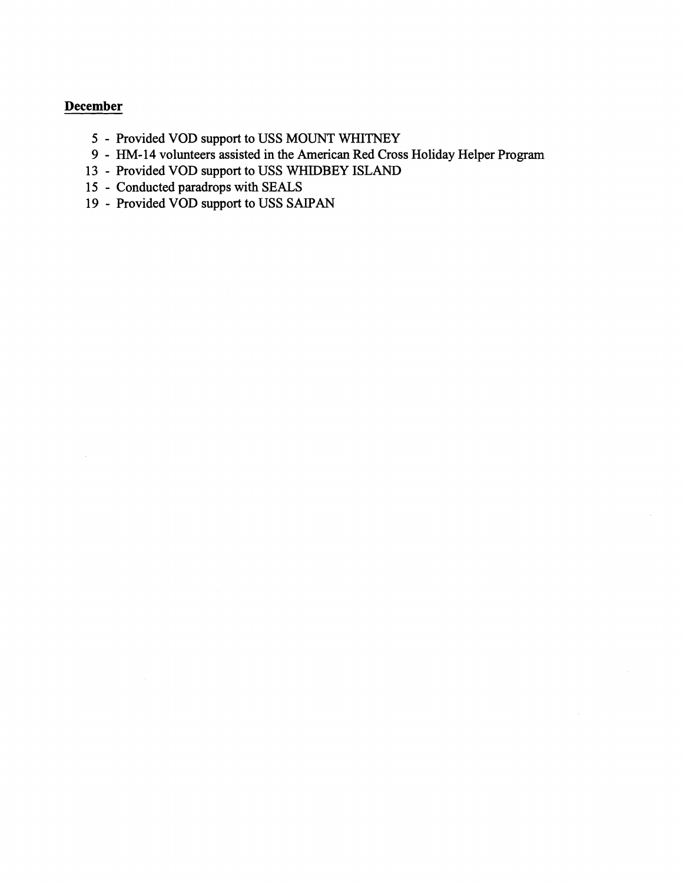# **December**

- **Provided VOD support to USS MOUNT WHITNEY**
- HM- **14 volunteers assisted in the American Red Cross Holiday Helper Program**
- **Provided VOD support to USS WHIDBEY ISLAND**
- **Conducted paradrops with SEALS**
- **Provided VOD support to USS SAIPAN**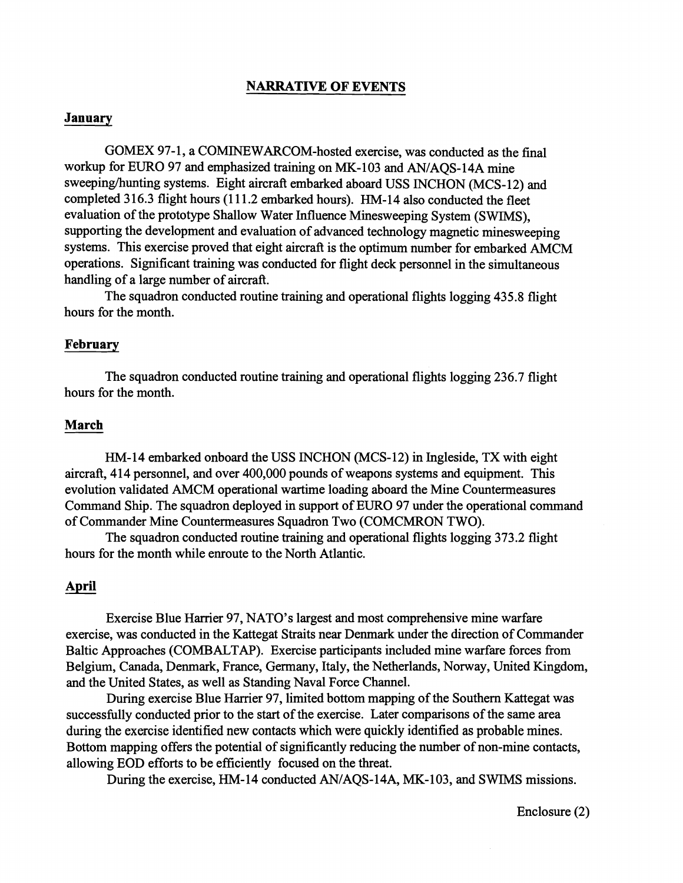# **NARRATIVE OF EVENTS**

#### **January**

GOMEX 97-1, a COMINEWARCOM-hosted exercise, was conducted as the final workup for EURO 97 and emphasized training on MK-103 and AN/AOS-14A mine sweeping/hunting systems. Eight aircraft embarked aboard USS INCHON (MCS-12) and completed 316.3 flight hours (111.2 embarked hours). HM-14 also conducted the fleet evaluation of the prototype Shallow Water Influence Minesweeping System (SWIMS), supporting the development and evaluation of advanced technology magnetic minesweeping systems. This exercise proved that eight aircraft is the optimum number for embarked AMCM operations. Significant training was conducted for flight deck personnel in the simultaneous handling of a large number of aircraft.

The squadron conducted routine training and operational flights logging 435.8 flight hours for the month.

# **February**

The squadron conducted routine training and operational flights logging 236.7 flight hours for the month.

#### **March**

HM- 14 embarked onboard the USS INCHON (MCS- 12) in Ingleside, TX with eight aircraft, 414 personnel, and over 400,000 pounds of weapons systems and equipment. This evolution validated AMCM operational wartime loading aboard the Mine Countermeasures Command Ship. The squadron deployed in support of **EURO** 97 under the operational command of Commander Mine Countermeasures Squadron Two (COMCMRON TWO).

The squadron conducted routine training and operational flights logging 373.2 flight hours for the month while enroute to the North Atlantic.

### **April**

Exercise Blue Harrier 97, NATO's largest and most comprehensive mine warfare exercise, was conducted in the Kattegat Straits near Denmark under the direction of Commander Baltic Approaches (COMBALTAP). Exercise participants included mine warfare forces from Belgium, Canada, Denmark, France, Germany, Italy, the Netherlands, Norway, United Kingdom, and the United States, as well as Standing Naval Force Channel.

During exercise Blue Harrier 97, limited bottom mapping of the Southern Kattegat was successfully conducted prior to the start of the exercise. Later comparisons of the same area during the exercise identified new contacts which were quickly identified as probable mines. Bottom mapping offers the potential of significantly reducing the number of non-mine contacts, allowing EOD efforts to be efficiently focused on the threat.

During the exercise, HM-14 conducted AN/AQS-14A, MK-103, and SWIMS missions.

Enclosure (2)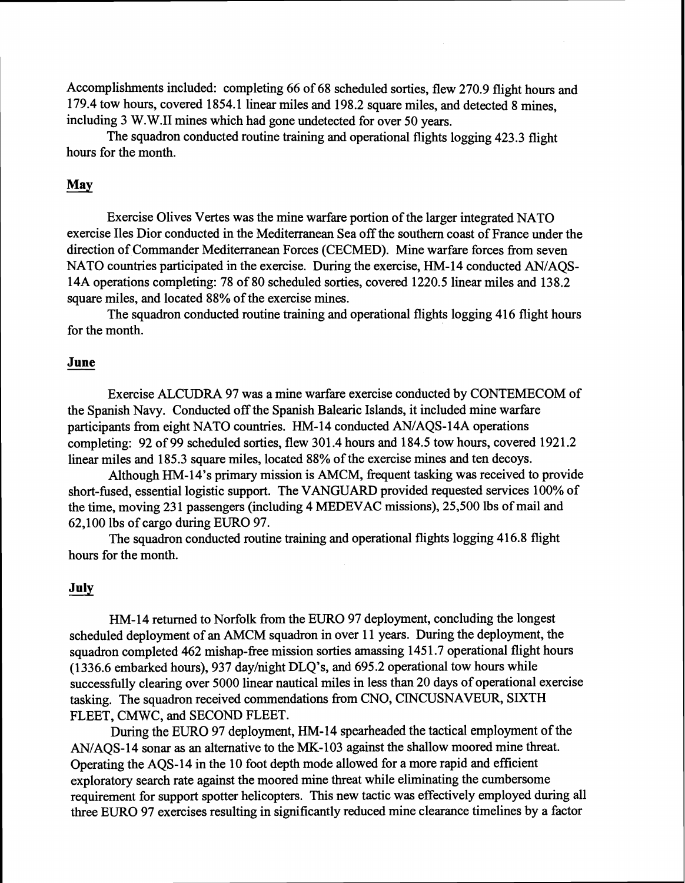Accomplishments included: completing 66 of 68 scheduled sorties, flew 270.9 flight hours and 179.4 tow hours, covered 1854.1 linear miles and 198.2 square miles, and detected 8 mines, including 3 W.W.11 mines which had gone undetected for over 50 years.

The squadron conducted routine training and operational flights logging 423.3 flight hours for the month.

### *May*

Exercise Olives Vertes was the mine warfare portion of the larger integrated NATO exercise Iles Dior conducted in the Mediterranean Sea off the southern coast of France under the direction of Commander Mediterranean Forces (CECMED). Mine warfare forces fiom seven NATO countries participated in the exercise. During the exercise, HM-14 conducted AN/AQS-14A operations completing: 78 of 80 scheduled sorties, covered 1220.5 linear miles and 138.2 square miles, and located 88% of the exercise mines.

The squadron conducted routine training and operational flights logging 416 flight hours for the month.

#### **June**

Exercise ALCUDRA 97 was a mine warfare exercise conducted by CONTEMECOM of the Spanish Navy. Conducted off the Spanish Balearic Islands, it included mine warfare participants from eight NATO countries. HM-14 conducted AN/AQS-14A operations completing: 92 of 99 scheduled sorties, flew 301.4 hours and 184.5 tow hours, covered 1921.2 linear miles and 185.3 square miles, located 88% of the exercise mines and ten decoys.

Although HM-14's primary mission is AMCM, frequent tasking was received to provide short-fused, essential logistic support. The VANGUARD provided requested services 100% of the time, moving 231 passengers (including 4 MEDEVAC missions), 25,500 lbs of mail and 62,100 lbs of cargo during EURO 97.

The squadron conducted routine training and operational flights logging 416.8 flight hours for the month.

### **July**

HM-14 returned to Norfolk from the EURO 97 deployment, concluding the longest scheduled deployment of an AMCM squadron in over 11 years. During the deployment, the squadron completed 462 mishap-free mission sorties amassing 1451.7 operational flight hours (1336.6 embarked hours), 937 daylnight DLQ's, and 695.2 operational tow hours while successfully clearing over 5000 linear nautical miles in less than 20 days of operational exercise tasking. The squadron received commendations from CNO, CINCUSNAVEUR, SIXTH FLEET, CMWC, and SECOND FLEET.

During the EURO 97 deployment, HM-14 spearheaded the tactical employment of the AN/AQS-14 sonar as an alternative to the MK-103 against the shallow moored mine threat. Operating the AQS-14 in the 10 foot depth mode allowed for a more rapid and efficient exploratory search rate against the moored mine threat while eliminating the cumbersome requirement for support spotter helicopters. This new tactic was effectively employed during all three EURO 97 exercises resulting in significantly reduced mine clearance timelines by a factor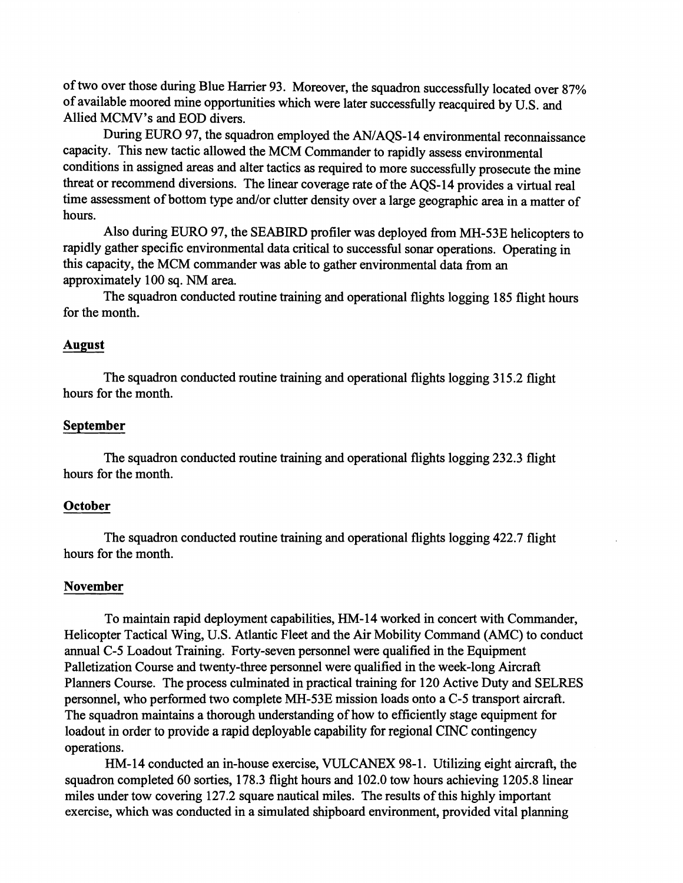of two over those during Blue Harrier 93. Moreover, the squadron successfully located over 87% of available moored mine opportunities which were later successfully reacquired by U.S. and Allied MCMV's and EOD divers.

During EURO 97, the squadron employed the AN/AQS-14 environmental reconnaissance capacity. This new tactic allowed the MCM Commander to rapidly assess environmental conditions in assigned areas and alter tactics as required to more successfitlly prosecute the mine threat or reconmend diversions. The linear coverage rate of the AQS-14 provides a virtual real time assessment of bottom type and/or clutter density over a large geographic area in a matter of hours.

Also during EURO 97, the SEABIRD profiler was deployed fiom MH-53E helicopters to rapidly gather specific environmental data critical to successful sonar operations. Operating in this capacity, the MCM commander was able to gather environmental data fiom an approximately 100 sq. NM area.

The squadron conducted routine training and operational flights logging 185 flight hours for the month.

### **August**

The squadron conducted routine training and operational flights logging 315.2 flight hours for the month.

### September

The squadron conducted routine training and operational flights logging 232.3 flight hours for the month.

### **October**

The squadron conducted routine training and operational flights logging 422.7 flight hours for the month.

### **November**

To maintain rapid deployment capabilities, HM-14 worked in concert with Commander, Helicopter Tactical Wing, U.S. Atlantic Fleet and the Air Mobility Command (AMC) to conduct annual C-5 Loadout Training. Forty-seven personnel were qualified in the Equipment Palletization Course and twenty-three personnel were qualified in the week-long Aircraft Planners Course. The process culminated in practical training for 120 Active Duty and SELRES personnel, who performed two complete MH-53E mission loads onto a C-5 transport aircraft. The squadron maintains a thorough understanding of how to efficiently stage equipment for loadout in order to provide a rapid deployable capability for regional CINC contingency operations.

HM-14 conducted an in-house exercise, VULCANEX 98-1. Utilizing eight aircraft, the squadron completed 60 sorties, 178.3 flight hours and 102.0 tow hours achieving 1205.8 linear miles under tow covering 127.2 square nautical miles. The results of this highly important exercise, which was conducted in a simulated shipboard environment, provided vital planning